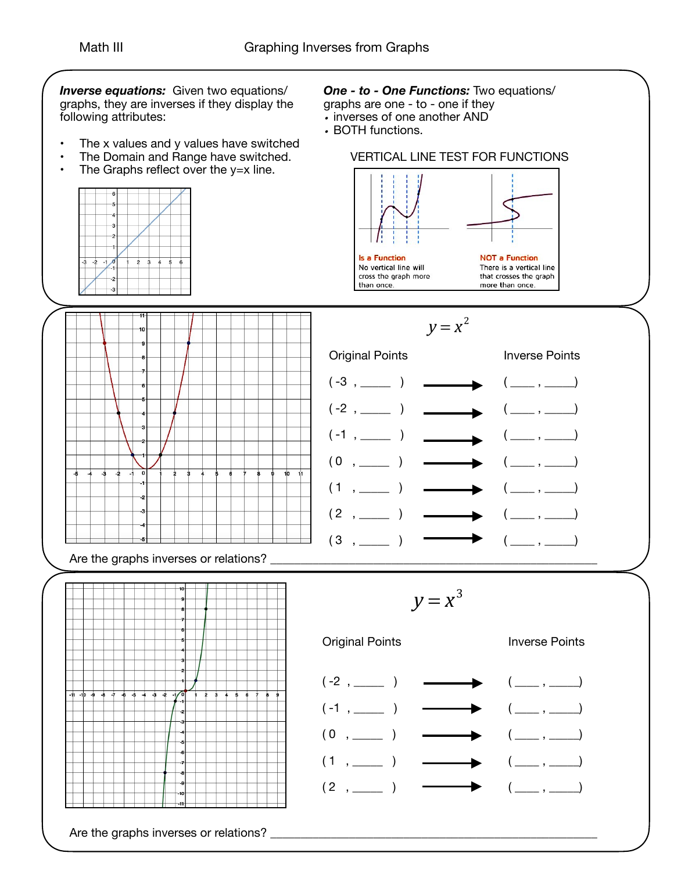*Inverse equations:* Given two equations/ graphs, they are inverses if they display the following attributes:

- The x values and y values have switched
- The Domain and Range have switched.
- $\cdot$  The Graphs reflect over the y=x line.



## *One - to - One Functions:* Two equations/

- graphs are one to one if they
- *•* inverses of one another AND
- *•* BOTH functions.

## VERTICAL LINE TEST FOR FUNCTIONS



 $y = x^2$ 







 $y = x^3$ 

Original Points

 $(2, \_)$ 



## Inverse Points